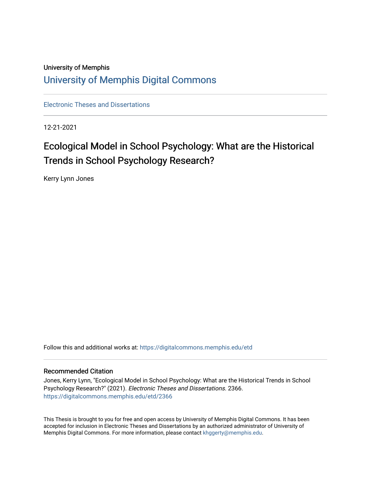### University of Memphis [University of Memphis Digital Commons](https://digitalcommons.memphis.edu/)

[Electronic Theses and Dissertations](https://digitalcommons.memphis.edu/etd)

12-21-2021

# Ecological Model in School Psychology: What are the Historical Trends in School Psychology Research?

Kerry Lynn Jones

Follow this and additional works at: [https://digitalcommons.memphis.edu/etd](https://digitalcommons.memphis.edu/etd?utm_source=digitalcommons.memphis.edu%2Fetd%2F2366&utm_medium=PDF&utm_campaign=PDFCoverPages) 

#### Recommended Citation

Jones, Kerry Lynn, "Ecological Model in School Psychology: What are the Historical Trends in School Psychology Research?" (2021). Electronic Theses and Dissertations. 2366. [https://digitalcommons.memphis.edu/etd/2366](https://digitalcommons.memphis.edu/etd/2366?utm_source=digitalcommons.memphis.edu%2Fetd%2F2366&utm_medium=PDF&utm_campaign=PDFCoverPages) 

This Thesis is brought to you for free and open access by University of Memphis Digital Commons. It has been accepted for inclusion in Electronic Theses and Dissertations by an authorized administrator of University of Memphis Digital Commons. For more information, please contact [khggerty@memphis.edu.](mailto:khggerty@memphis.edu)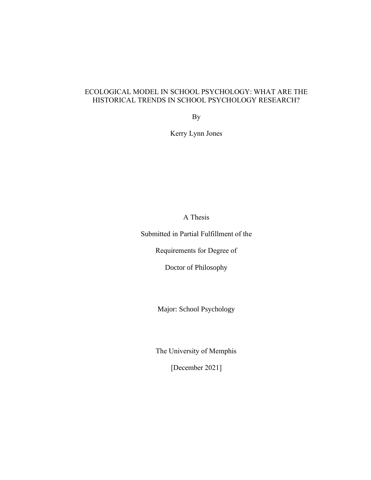### ECOLOGICAL MODEL IN SCHOOL PSYCHOLOGY: WHAT ARE THE HISTORICAL TRENDS IN SCHOOL PSYCHOLOGY RESEARCH?

By

Kerry Lynn Jones

A Thesis

Submitted in Partial Fulfillment of the

Requirements for Degree of

Doctor of Philosophy

Major: School Psychology

The University of Memphis

[December 2021]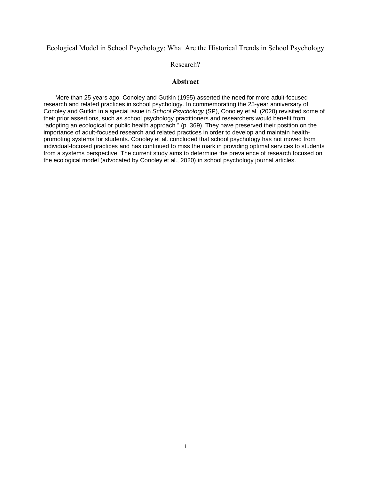#### Ecological Model in School Psychology: What Are the Historical Trends in School Psychology

#### Research?

#### **Abstract**

 More than 25 years ago, Conoley and Gutkin (1995) asserted the need for more adult-focused research and related practices in school psychology. In commemorating the 25-year anniversary of Conoley and Gutkin in a special issue in *School Psychology* (SP), Conoley et al. (2020) revisited some of their prior assertions, such as school psychology practitioners and researchers would benefit from "adopting an ecological or public health approach " (p. 369). They have preserved their position on the importance of adult-focused research and related practices in order to develop and maintain healthpromoting systems for students. Conoley et al. concluded that school psychology has not moved from individual-focused practices and has continued to miss the mark in providing optimal services to students from a systems perspective. The current study aims to determine the prevalence of research focused on the ecological model (advocated by Conoley et al., 2020) in school psychology journal articles.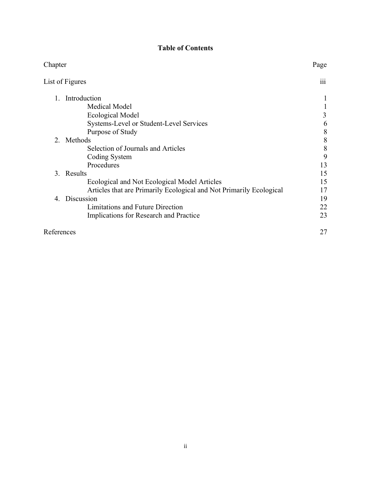### **Table of Contents**

| Chapter                                                             | Page                    |
|---------------------------------------------------------------------|-------------------------|
| List of Figures                                                     | $\overline{\text{iii}}$ |
| Introduction                                                        |                         |
| Medical Model                                                       |                         |
| Ecological Model                                                    | 3                       |
| Systems-Level or Student-Level Services                             | 6                       |
| Purpose of Study                                                    | 8                       |
| 2. Methods                                                          | 8                       |
| Selection of Journals and Articles                                  | 8                       |
| Coding System                                                       | 9                       |
| Procedures                                                          | 13                      |
| 3. Results                                                          | 15                      |
| Ecological and Not Ecological Model Articles                        | 15                      |
| Articles that are Primarily Ecological and Not Primarily Ecological | 17                      |
| Discussion<br>4.                                                    | 19                      |
| Limitations and Future Direction                                    | 22                      |
| Implications for Research and Practice                              | 23                      |
| References                                                          |                         |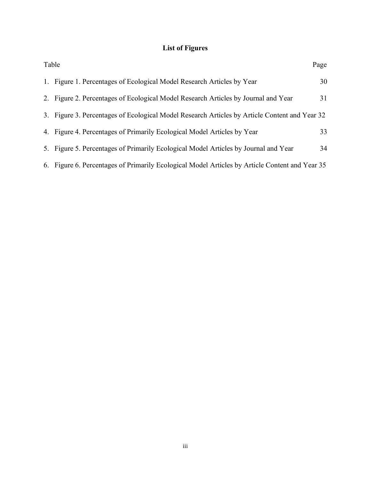## **List of Figures**

| Table                                                                                          | Page |
|------------------------------------------------------------------------------------------------|------|
| 1. Figure 1. Percentages of Ecological Model Research Articles by Year                         | 30   |
| 2. Figure 2. Percentages of Ecological Model Research Articles by Journal and Year             | 31   |
| 3. Figure 3. Percentages of Ecological Model Research Articles by Article Content and Year 32  |      |
| 4. Figure 4. Percentages of Primarily Ecological Model Articles by Year                        | 33   |
| 5. Figure 5. Percentages of Primarily Ecological Model Articles by Journal and Year            | 34   |
| 6. Figure 6. Percentages of Primarily Ecological Model Articles by Article Content and Year 35 |      |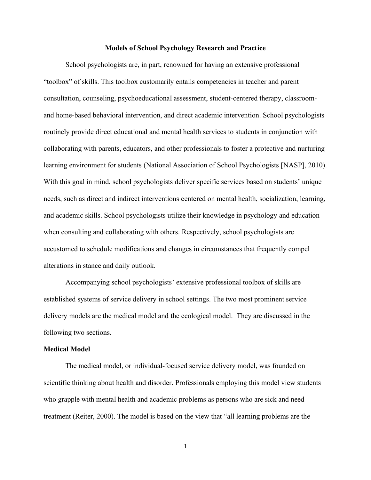#### **Models of School Psychology Research and Practice**

School psychologists are, in part, renowned for having an extensive professional "toolbox" of skills. This toolbox customarily entails competencies in teacher and parent consultation, counseling, psychoeducational assessment, student-centered therapy, classroomand home-based behavioral intervention, and direct academic intervention. School psychologists routinely provide direct educational and mental health services to students in conjunction with collaborating with parents, educators, and other professionals to foster a protective and nurturing learning environment for students (National Association of School Psychologists [NASP], 2010). With this goal in mind, school psychologists deliver specific services based on students' unique needs, such as direct and indirect interventions centered on mental health, socialization, learning, and academic skills. School psychologists utilize their knowledge in psychology and education when consulting and collaborating with others. Respectively, school psychologists are accustomed to schedule modifications and changes in circumstances that frequently compel alterations in stance and daily outlook.

Accompanying school psychologists' extensive professional toolbox of skills are established systems of service delivery in school settings. The two most prominent service delivery models are the medical model and the ecological model. They are discussed in the following two sections.

#### **Medical Model**

The medical model, or individual-focused service delivery model, was founded on scientific thinking about health and disorder. Professionals employing this model view students who grapple with mental health and academic problems as persons who are sick and need treatment (Reiter, 2000). The model is based on the view that "all learning problems are the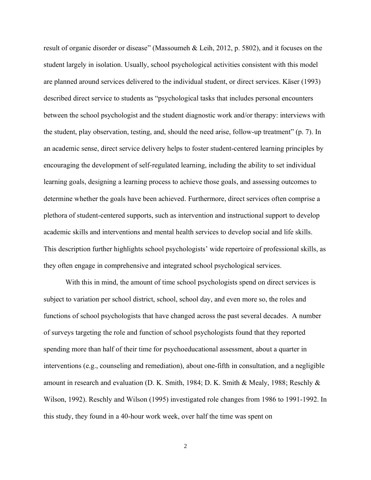result of organic disorder or disease" (Massoumeh & Leih, 2012, p. 5802), and it focuses on the student largely in isolation. Usually, school psychological activities consistent with this model are planned around services delivered to the individual student, or direct services. Käser (1993) described direct service to students as "psychological tasks that includes personal encounters between the school psychologist and the student diagnostic work and/or therapy: interviews with the student, play observation, testing, and, should the need arise, follow-up treatment" (p. 7). In an academic sense, direct service delivery helps to foster student-centered learning principles by encouraging the development of self-regulated learning, including the ability to set individual learning goals, designing a learning process to achieve those goals, and assessing outcomes to determine whether the goals have been achieved. Furthermore, direct services often comprise a plethora of student-centered supports, such as intervention and instructional support to develop academic skills and interventions and mental health services to develop social and life skills. This description further highlights school psychologists' wide repertoire of professional skills, as they often engage in comprehensive and integrated school psychological services.

With this in mind, the amount of time school psychologists spend on direct services is subject to variation per school district, school, school day, and even more so, the roles and functions of school psychologists that have changed across the past several decades. A number of surveys targeting the role and function of school psychologists found that they reported spending more than half of their time for psychoeducational assessment, about a quarter in interventions (e.g., counseling and remediation), about one-fifth in consultation, and a negligible amount in research and evaluation (D. K. Smith, 1984; D. K. Smith & Mealy, 1988; Reschly & Wilson, 1992). Reschly and Wilson (1995) investigated role changes from 1986 to 1991-1992. In this study, they found in a 40-hour work week, over half the time was spent on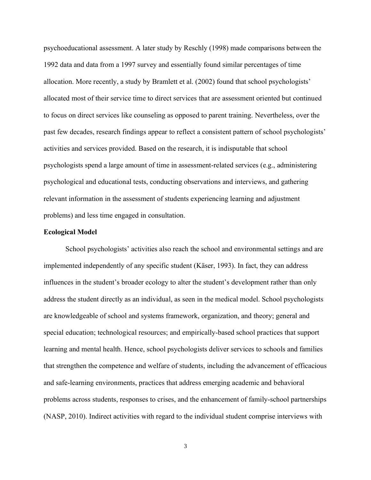psychoeducational assessment. A later study by Reschly (1998) made comparisons between the 1992 data and data from a 1997 survey and essentially found similar percentages of time allocation. More recently, a study by Bramlett et al. (2002) found that school psychologists' allocated most of their service time to direct services that are assessment oriented but continued to focus on direct services like counseling as opposed to parent training. Nevertheless, over the past few decades, research findings appear to reflect a consistent pattern of school psychologists' activities and services provided. Based on the research, it is indisputable that school psychologists spend a large amount of time in assessment-related services (e.g., administering psychological and educational tests, conducting observations and interviews, and gathering relevant information in the assessment of students experiencing learning and adjustment problems) and less time engaged in consultation.

#### **Ecological Model**

School psychologists' activities also reach the school and environmental settings and are implemented independently of any specific student (Käser, 1993). In fact, they can address influences in the student's broader ecology to alter the student's development rather than only address the student directly as an individual, as seen in the medical model. School psychologists are knowledgeable of school and systems framework, organization, and theory; general and special education; technological resources; and empirically-based school practices that support learning and mental health. Hence, school psychologists deliver services to schools and families that strengthen the competence and welfare of students, including the advancement of efficacious and safe-learning environments, practices that address emerging academic and behavioral problems across students, responses to crises, and the enhancement of family-school partnerships (NASP, 2010). Indirect activities with regard to the individual student comprise interviews with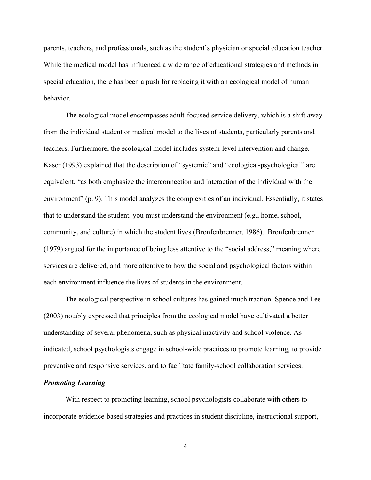parents, teachers, and professionals, such as the student's physician or special education teacher. While the medical model has influenced a wide range of educational strategies and methods in special education, there has been a push for replacing it with an ecological model of human behavior.

The ecological model encompasses adult-focused service delivery, which is a shift away from the individual student or medical model to the lives of students, particularly parents and teachers. Furthermore, the ecological model includes system-level intervention and change. Käser (1993) explained that the description of "systemic" and "ecological-psychological" are equivalent, "as both emphasize the interconnection and interaction of the individual with the environment" (p. 9). This model analyzes the complexities of an individual. Essentially, it states that to understand the student, you must understand the environment (e.g., home, school, community, and culture) in which the student lives (Bronfenbrenner, 1986). Bronfenbrenner (1979) argued for the importance of being less attentive to the "social address," meaning where services are delivered, and more attentive to how the social and psychological factors within each environment influence the lives of students in the environment.

The ecological perspective in school cultures has gained much traction. Spence and Lee (2003) notably expressed that principles from the ecological model have cultivated a better understanding of several phenomena, such as physical inactivity and school violence. As indicated, school psychologists engage in school-wide practices to promote learning, to provide preventive and responsive services, and to facilitate family-school collaboration services.

#### *Promoting Learning*

With respect to promoting learning, school psychologists collaborate with others to incorporate evidence-based strategies and practices in student discipline, instructional support,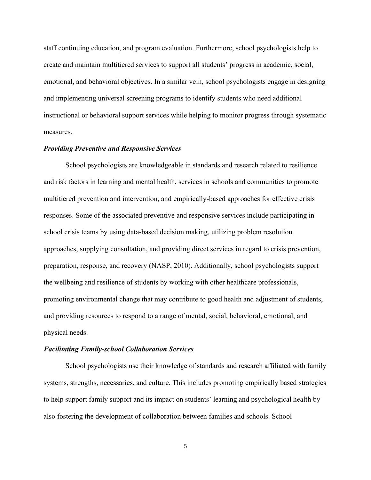staff continuing education, and program evaluation. Furthermore, school psychologists help to create and maintain multitiered services to support all students' progress in academic, social, emotional, and behavioral objectives. In a similar vein, school psychologists engage in designing and implementing universal screening programs to identify students who need additional instructional or behavioral support services while helping to monitor progress through systematic measures.

#### *Providing Preventive and Responsive Services*

School psychologists are knowledgeable in standards and research related to resilience and risk factors in learning and mental health, services in schools and communities to promote multitiered prevention and intervention, and empirically-based approaches for effective crisis responses. Some of the associated preventive and responsive services include participating in school crisis teams by using data-based decision making, utilizing problem resolution approaches, supplying consultation, and providing direct services in regard to crisis prevention, preparation, response, and recovery (NASP, 2010). Additionally, school psychologists support the wellbeing and resilience of students by working with other healthcare professionals, promoting environmental change that may contribute to good health and adjustment of students, and providing resources to respond to a range of mental, social, behavioral, emotional, and physical needs.

#### *Facilitating Family-school Collaboration Services*

School psychologists use their knowledge of standards and research affiliated with family systems, strengths, necessaries, and culture. This includes promoting empirically based strategies to help support family support and its impact on students' learning and psychological health by also fostering the development of collaboration between families and schools. School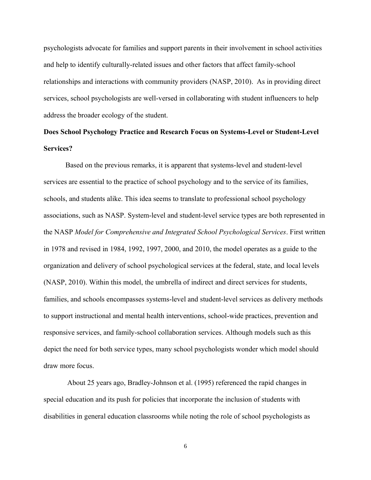psychologists advocate for families and support parents in their involvement in school activities and help to identify culturally-related issues and other factors that affect family-school relationships and interactions with community providers (NASP, 2010). As in providing direct services, school psychologists are well-versed in collaborating with student influencers to help address the broader ecology of the student.

## **Does School Psychology Practice and Research Focus on Systems-Level or Student-Level Services?**

Based on the previous remarks, it is apparent that systems-level and student-level services are essential to the practice of school psychology and to the service of its families, schools, and students alike. This idea seems to translate to professional school psychology associations, such as NASP. System-level and student-level service types are both represented in the NASP *Model for Comprehensive and Integrated School Psychological Services*. First written in 1978 and revised in 1984, 1992, 1997, 2000, and 2010, the model operates as a guide to the organization and delivery of school psychological services at the federal, state, and local levels (NASP, 2010). Within this model, the umbrella of indirect and direct services for students, families, and schools encompasses systems-level and student-level services as delivery methods to support instructional and mental health interventions, school-wide practices, prevention and responsive services, and family-school collaboration services. Although models such as this depict the need for both service types, many school psychologists wonder which model should draw more focus.

About 25 years ago, Bradley-Johnson et al. (1995) referenced the rapid changes in special education and its push for policies that incorporate the inclusion of students with disabilities in general education classrooms while noting the role of school psychologists as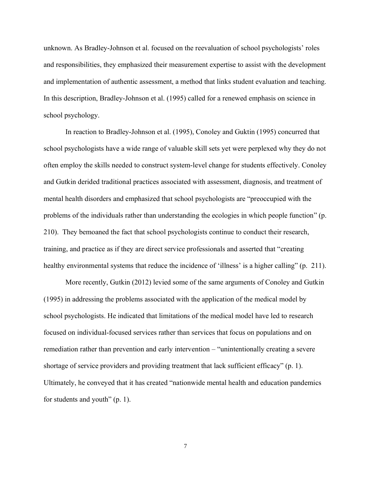unknown. As Bradley-Johnson et al. focused on the reevaluation of school psychologists' roles and responsibilities, they emphasized their measurement expertise to assist with the development and implementation of authentic assessment, a method that links student evaluation and teaching. In this description, Bradley-Johnson et al. (1995) called for a renewed emphasis on science in school psychology.

In reaction to Bradley-Johnson et al. (1995), Conoley and Guktin (1995) concurred that school psychologists have a wide range of valuable skill sets yet were perplexed why they do not often employ the skills needed to construct system-level change for students effectively. Conoley and Gutkin derided traditional practices associated with assessment, diagnosis, and treatment of mental health disorders and emphasized that school psychologists are "preoccupied with the problems of the individuals rather than understanding the ecologies in which people function" (p. 210). They bemoaned the fact that school psychologists continue to conduct their research, training, and practice as if they are direct service professionals and asserted that "creating healthy environmental systems that reduce the incidence of 'illness' is a higher calling" (p. 211).

More recently, Gutkin (2012) levied some of the same arguments of Conoley and Gutkin (1995) in addressing the problems associated with the application of the medical model by school psychologists. He indicated that limitations of the medical model have led to research focused on individual-focused services rather than services that focus on populations and on remediation rather than prevention and early intervention – "unintentionally creating a severe shortage of service providers and providing treatment that lack sufficient efficacy" (p. 1). Ultimately, he conveyed that it has created "nationwide mental health and education pandemics for students and youth" (p. 1).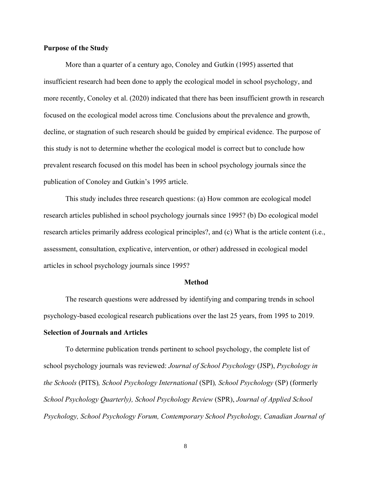#### **Purpose of the Study**

More than a quarter of a century ago, Conoley and Gutkin (1995) asserted that insufficient research had been done to apply the ecological model in school psychology, and more recently, Conoley et al. (2020) indicated that there has been insufficient growth in research focused on the ecological model across time. Conclusions about the prevalence and growth, decline, or stagnation of such research should be guided by empirical evidence. The purpose of this study is not to determine whether the ecological model is correct but to conclude how prevalent research focused on this model has been in school psychology journals since the publication of Conoley and Gutkin's 1995 article.

This study includes three research questions: (a) How common are ecological model research articles published in school psychology journals since 1995? (b) Do ecological model research articles primarily address ecological principles?, and (c) What is the article content (i.e., assessment, consultation, explicative, intervention, or other) addressed in ecological model articles in school psychology journals since 1995?

#### **Method**

The research questions were addressed by identifying and comparing trends in school psychology-based ecological research publications over the last 25 years, from 1995 to 2019.

#### **Selection of Journals and Articles**

To determine publication trends pertinent to school psychology, the complete list of school psychology journals was reviewed: *Journal of School Psychology* (JSP), *Psychology in the Schools* (PITS)*, School Psychology International* (SPI)*, School Psychology* (SP) (formerly *School Psychology Quarterly), School Psychology Review* (SPR), *Journal of Applied School Psychology, School Psychology Forum, Contemporary School Psychology, Canadian Journal of*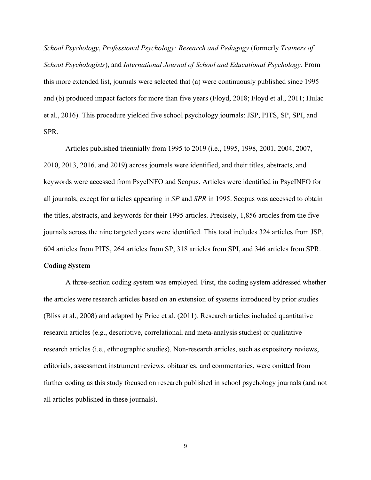*School Psychology*, *Professional Psychology: Research and Pedagogy* (formerly *Trainers of School Psychologists*), and *International Journal of School and Educational Psychology*. From this more extended list, journals were selected that (a) were continuously published since 1995 and (b) produced impact factors for more than five years (Floyd, 2018; Floyd et al., 2011; Hulac et al., 2016). This procedure yielded five school psychology journals: JSP, PITS, SP, SPI, and SPR.

Articles published triennially from 1995 to 2019 (i.e., 1995, 1998, 2001, 2004, 2007, 2010, 2013, 2016, and 2019) across journals were identified, and their titles, abstracts, and keywords were accessed from PsycINFO and Scopus. Articles were identified in PsycINFO for all journals, except for articles appearing in *SP* and *SPR* in 1995. Scopus was accessed to obtain the titles, abstracts, and keywords for their 1995 articles. Precisely, 1,856 articles from the five journals across the nine targeted years were identified. This total includes 324 articles from JSP, 604 articles from PITS, 264 articles from SP, 318 articles from SPI, and 346 articles from SPR.

#### **Coding System**

A three-section coding system was employed. First, the coding system addressed whether the articles were research articles based on an extension of systems introduced by prior studies (Bliss et al., 2008) and adapted by Price et al. (2011). Research articles included quantitative research articles (e.g., descriptive, correlational, and meta-analysis studies) or qualitative research articles (i.e., ethnographic studies). Non-research articles, such as expository reviews, editorials, assessment instrument reviews, obituaries, and commentaries, were omitted from further coding as this study focused on research published in school psychology journals (and not all articles published in these journals).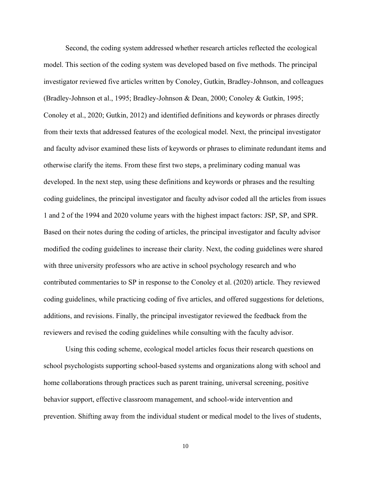Second, the coding system addressed whether research articles reflected the ecological model. This section of the coding system was developed based on five methods. The principal investigator reviewed five articles written by Conoley, Gutkin, Bradley-Johnson, and colleagues (Bradley-Johnson et al., 1995; Bradley-Johnson & Dean, 2000; Conoley & Gutkin, 1995; Conoley et al., 2020; Gutkin, 2012) and identified definitions and keywords or phrases directly from their texts that addressed features of the ecological model. Next, the principal investigator and faculty advisor examined these lists of keywords or phrases to eliminate redundant items and otherwise clarify the items. From these first two steps, a preliminary coding manual was developed. In the next step, using these definitions and keywords or phrases and the resulting coding guidelines, the principal investigator and faculty advisor coded all the articles from issues 1 and 2 of the 1994 and 2020 volume years with the highest impact factors: JSP, SP, and SPR. Based on their notes during the coding of articles, the principal investigator and faculty advisor modified the coding guidelines to increase their clarity. Next, the coding guidelines were shared with three university professors who are active in school psychology research and who contributed commentaries to SP in response to the Conoley et al. (2020) article. They reviewed coding guidelines, while practicing coding of five articles, and offered suggestions for deletions, additions, and revisions. Finally, the principal investigator reviewed the feedback from the reviewers and revised the coding guidelines while consulting with the faculty advisor.

Using this coding scheme, ecological model articles focus their research questions on school psychologists supporting school-based systems and organizations along with school and home collaborations through practices such as parent training, universal screening, positive behavior support, effective classroom management, and school-wide intervention and prevention. Shifting away from the individual student or medical model to the lives of students,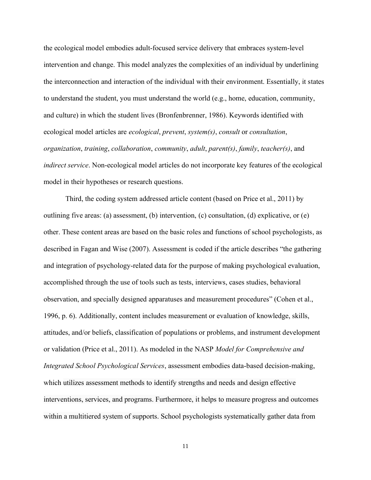the ecological model embodies adult-focused service delivery that embraces system-level intervention and change. This model analyzes the complexities of an individual by underlining the interconnection and interaction of the individual with their environment. Essentially, it states to understand the student, you must understand the world (e.g., home, education, community, and culture) in which the student lives (Bronfenbrenner, 1986). Keywords identified with ecological model articles are *ecological*, *prevent*, *system(s)*, *consult* or *consultation*, *organization*, *training*, *collaboration*, *community*, *adult*, *parent(s)*, *family*, *teacher(s)*, and *indirect service*. Non-ecological model articles do not incorporate key features of the ecological model in their hypotheses or research questions.

Third, the coding system addressed article content (based on Price et al., 2011) by outlining five areas: (a) assessment, (b) intervention, (c) consultation, (d) explicative, or (e) other. These content areas are based on the basic roles and functions of school psychologists, as described in Fagan and Wise (2007). Assessment is coded if the article describes "the gathering and integration of psychology-related data for the purpose of making psychological evaluation, accomplished through the use of tools such as tests, interviews, cases studies, behavioral observation, and specially designed apparatuses and measurement procedures" (Cohen et al., 1996, p. 6). Additionally, content includes measurement or evaluation of knowledge, skills, attitudes, and/or beliefs, classification of populations or problems, and instrument development or validation (Price et al., 2011). As modeled in the NASP *Model for Comprehensive and Integrated School Psychological Services*, assessment embodies data-based decision-making, which utilizes assessment methods to identify strengths and needs and design effective interventions, services, and programs. Furthermore, it helps to measure progress and outcomes within a multitiered system of supports. School psychologists systematically gather data from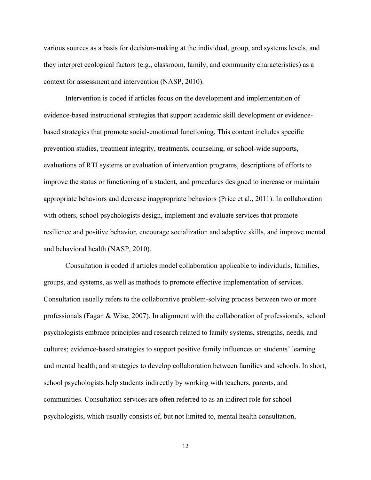various sources as a basis for decision-making at the individual, group, and systems levels, and they interpret ecological factors (e.g., classroom, family, and community characteristics) as a context for assessment and intervention (NASP, 2010).

Intervention is coded if articles focus on the development and implementation of evidence-based instructional strategies that support academic skill development or evidencebased strategies that promote social-emotional functioning. This content includes specific prevention studies, treatment integrity, treatments, counseling, or school-wide supports, evaluations of RTI systems or evaluation of intervention programs, descriptions of efforts to improve the status or functioning of a student, and procedures designed to increase or maintain appropriate behaviors and decrease inappropriate behaviors (Price et al., 2011). In collaboration with others, school psychologists design, implement and evaluate services that promote resilience and positive behavior, encourage socialization and adaptive skills, and improve mental and behavioral health (NASP, 2010).

Consultation is coded if articles model collaboration applicable to individuals, families, groups, and systems, as well as methods to promote effective implementation of services. Consultation usually refers to the collaborative problem-solving process between two or more professionals (Fagan & Wise, 2007). In alignment with the collaboration of professionals, school psychologists embrace principles and research related to family systems, strengths, needs, and cultures; evidence-based strategies to support positive family influences on students' learning and mental health; and strategies to develop collaboration between families and schools. In short, school psychologists help students indirectly by working with teachers, parents, and communities. Consultation services are often referred to as an indirect role for school psychologists, which usually consists of, but not limited to, mental health consultation,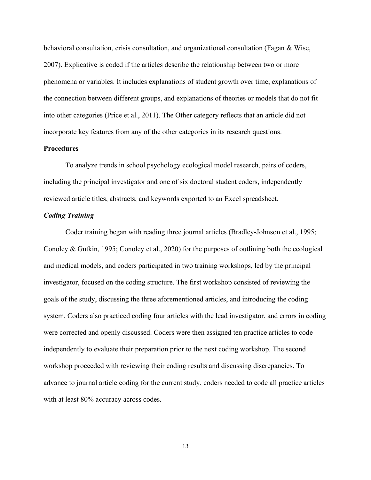behavioral consultation, crisis consultation, and organizational consultation (Fagan & Wise, 2007). Explicative is coded if the articles describe the relationship between two or more phenomena or variables. It includes explanations of student growth over time, explanations of the connection between different groups, and explanations of theories or models that do not fit into other categories (Price et al., 2011). The Other category reflects that an article did not incorporate key features from any of the other categories in its research questions.

#### **Procedures**

To analyze trends in school psychology ecological model research, pairs of coders, including the principal investigator and one of six doctoral student coders, independently reviewed article titles, abstracts, and keywords exported to an Excel spreadsheet.

#### *Coding Training*

Coder training began with reading three journal articles (Bradley-Johnson et al., 1995; Conoley & Gutkin, 1995; Conoley et al., 2020) for the purposes of outlining both the ecological and medical models, and coders participated in two training workshops, led by the principal investigator, focused on the coding structure. The first workshop consisted of reviewing the goals of the study, discussing the three aforementioned articles, and introducing the coding system. Coders also practiced coding four articles with the lead investigator, and errors in coding were corrected and openly discussed. Coders were then assigned ten practice articles to code independently to evaluate their preparation prior to the next coding workshop. The second workshop proceeded with reviewing their coding results and discussing discrepancies. To advance to journal article coding for the current study, coders needed to code all practice articles with at least 80% accuracy across codes.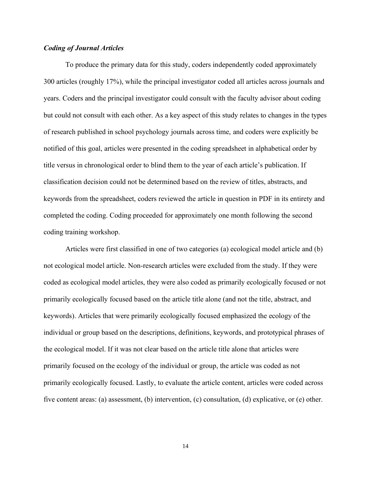#### *Coding of Journal Articles*

To produce the primary data for this study, coders independently coded approximately 300 articles (roughly 17%), while the principal investigator coded all articles across journals and years. Coders and the principal investigator could consult with the faculty advisor about coding but could not consult with each other. As a key aspect of this study relates to changes in the types of research published in school psychology journals across time, and coders were explicitly be notified of this goal, articles were presented in the coding spreadsheet in alphabetical order by title versus in chronological order to blind them to the year of each article's publication. If classification decision could not be determined based on the review of titles, abstracts, and keywords from the spreadsheet, coders reviewed the article in question in PDF in its entirety and completed the coding. Coding proceeded for approximately one month following the second coding training workshop.

Articles were first classified in one of two categories (a) ecological model article and (b) not ecological model article. Non-research articles were excluded from the study. If they were coded as ecological model articles, they were also coded as primarily ecologically focused or not primarily ecologically focused based on the article title alone (and not the title, abstract, and keywords). Articles that were primarily ecologically focused emphasized the ecology of the individual or group based on the descriptions, definitions, keywords, and prototypical phrases of the ecological model. If it was not clear based on the article title alone that articles were primarily focused on the ecology of the individual or group, the article was coded as not primarily ecologically focused. Lastly, to evaluate the article content, articles were coded across five content areas: (a) assessment, (b) intervention, (c) consultation, (d) explicative, or (e) other.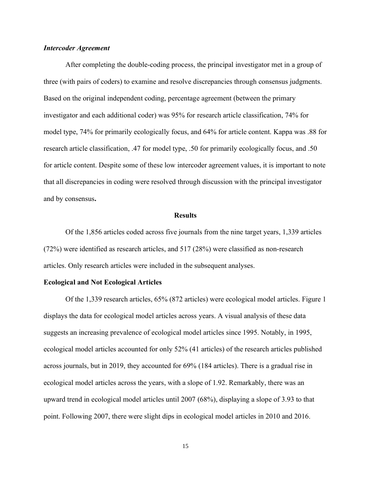#### *Intercoder Agreement*

After completing the double-coding process, the principal investigator met in a group of three (with pairs of coders) to examine and resolve discrepancies through consensus judgments. Based on the original independent coding, percentage agreement (between the primary investigator and each additional coder) was 95% for research article classification, 74% for model type, 74% for primarily ecologically focus, and 64% for article content. Kappa was .88 for research article classification, .47 for model type, .50 for primarily ecologically focus, and .50 for article content. Despite some of these low intercoder agreement values, it is important to note that all discrepancies in coding were resolved through discussion with the principal investigator and by consensus**.**

#### **Results**

Of the 1,856 articles coded across five journals from the nine target years, 1,339 articles (72%) were identified as research articles, and 517 (28%) were classified as non-research articles. Only research articles were included in the subsequent analyses.

#### **Ecological and Not Ecological Articles**

Of the 1,339 research articles, 65% (872 articles) were ecological model articles. Figure 1 displays the data for ecological model articles across years. A visual analysis of these data suggests an increasing prevalence of ecological model articles since 1995. Notably, in 1995, ecological model articles accounted for only 52% (41 articles) of the research articles published across journals, but in 2019, they accounted for 69% (184 articles). There is a gradual rise in ecological model articles across the years, with a slope of 1.92. Remarkably, there was an upward trend in ecological model articles until 2007 (68%), displaying a slope of 3.93 to that point. Following 2007, there were slight dips in ecological model articles in 2010 and 2016.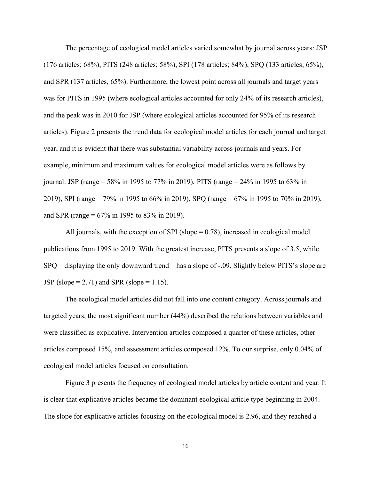The percentage of ecological model articles varied somewhat by journal across years: JSP (176 articles; 68%), PITS (248 articles; 58%), SPI (178 articles; 84%), SPQ (133 articles; 65%), and SPR (137 articles, 65%). Furthermore, the lowest point across all journals and target years was for PITS in 1995 (where ecological articles accounted for only 24% of its research articles), and the peak was in 2010 for JSP (where ecological articles accounted for 95% of its research articles). Figure 2 presents the trend data for ecological model articles for each journal and target year, and it is evident that there was substantial variability across journals and years. For example, minimum and maximum values for ecological model articles were as follows by journal: JSP (range = 58% in 1995 to 77% in 2019), PITS (range = 24% in 1995 to 63% in 2019), SPI (range = 79% in 1995 to 66% in 2019), SPQ (range = 67% in 1995 to 70% in 2019), and SPR (range = 67% in 1995 to 83% in 2019).

All journals, with the exception of SPI (slope  $= 0.78$ ), increased in ecological model publications from 1995 to 2019. With the greatest increase, PITS presents a slope of 3.5, while SPQ – displaying the only downward trend – has a slope of -.09. Slightly below PITS's slope are JSP (slope = 2.71) and SPR (slope = 1.15).

The ecological model articles did not fall into one content category. Across journals and targeted years, the most significant number (44%) described the relations between variables and were classified as explicative. Intervention articles composed a quarter of these articles, other articles composed 15%, and assessment articles composed 12%. To our surprise, only 0.04% of ecological model articles focused on consultation.

Figure 3 presents the frequency of ecological model articles by article content and year. It is clear that explicative articles became the dominant ecological article type beginning in 2004. The slope for explicative articles focusing on the ecological model is 2.96, and they reached a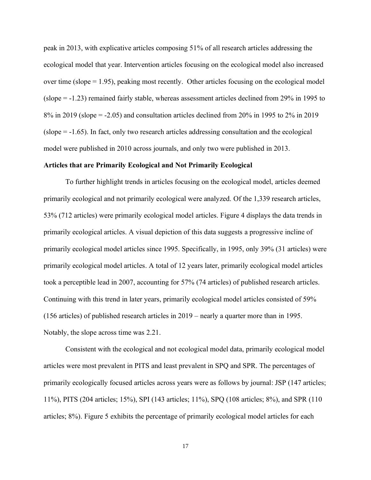peak in 2013, with explicative articles composing 51% of all research articles addressing the ecological model that year. Intervention articles focusing on the ecological model also increased over time (slope  $= 1.95$ ), peaking most recently. Other articles focusing on the ecological model (slope = -1.23) remained fairly stable, whereas assessment articles declined from 29% in 1995 to 8% in 2019 (slope = -2.05) and consultation articles declined from 20% in 1995 to 2% in 2019 (slope = -1.65). In fact, only two research articles addressing consultation and the ecological model were published in 2010 across journals, and only two were published in 2013.

#### **Articles that are Primarily Ecological and Not Primarily Ecological**

To further highlight trends in articles focusing on the ecological model, articles deemed primarily ecological and not primarily ecological were analyzed. Of the 1,339 research articles, 53% (712 articles) were primarily ecological model articles. Figure 4 displays the data trends in primarily ecological articles. A visual depiction of this data suggests a progressive incline of primarily ecological model articles since 1995. Specifically, in 1995, only 39% (31 articles) were primarily ecological model articles. A total of 12 years later, primarily ecological model articles took a perceptible lead in 2007, accounting for 57% (74 articles) of published research articles. Continuing with this trend in later years, primarily ecological model articles consisted of 59% (156 articles) of published research articles in 2019 – nearly a quarter more than in 1995. Notably, the slope across time was 2.21.

Consistent with the ecological and not ecological model data, primarily ecological model articles were most prevalent in PITS and least prevalent in SPQ and SPR. The percentages of primarily ecologically focused articles across years were as follows by journal: JSP (147 articles; 11%), PITS (204 articles; 15%), SPI (143 articles; 11%), SPQ (108 articles; 8%), and SPR (110 articles; 8%). Figure 5 exhibits the percentage of primarily ecological model articles for each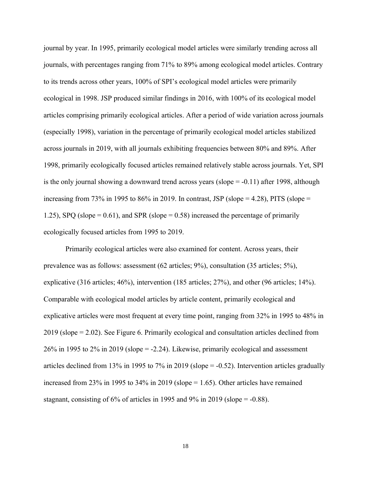journal by year. In 1995, primarily ecological model articles were similarly trending across all journals, with percentages ranging from 71% to 89% among ecological model articles. Contrary to its trends across other years, 100% of SPI's ecological model articles were primarily ecological in 1998. JSP produced similar findings in 2016, with 100% of its ecological model articles comprising primarily ecological articles. After a period of wide variation across journals (especially 1998), variation in the percentage of primarily ecological model articles stabilized across journals in 2019, with all journals exhibiting frequencies between 80% and 89%. After 1998, primarily ecologically focused articles remained relatively stable across journals. Yet, SPI is the only journal showing a downward trend across years (slope = -0.11) after 1998, although increasing from 73% in 1995 to 86% in 2019. In contrast, JSP (slope = 4.28), PITS (slope = 1.25), SPQ (slope =  $0.61$ ), and SPR (slope =  $0.58$ ) increased the percentage of primarily ecologically focused articles from 1995 to 2019.

Primarily ecological articles were also examined for content. Across years, their prevalence was as follows: assessment (62 articles; 9%), consultation (35 articles; 5%), explicative (316 articles; 46%), intervention (185 articles; 27%), and other (96 articles; 14%). Comparable with ecological model articles by article content, primarily ecological and explicative articles were most frequent at every time point, ranging from 32% in 1995 to 48% in 2019 (slope = 2.02). See Figure 6. Primarily ecological and consultation articles declined from 26% in 1995 to 2% in 2019 (slope = -2.24). Likewise, primarily ecological and assessment articles declined from 13% in 1995 to 7% in 2019 (slope = -0.52). Intervention articles gradually increased from 23% in 1995 to 34% in 2019 (slope  $= 1.65$ ). Other articles have remained stagnant, consisting of  $6\%$  of articles in 1995 and 9% in 2019 (slope =  $-0.88$ ).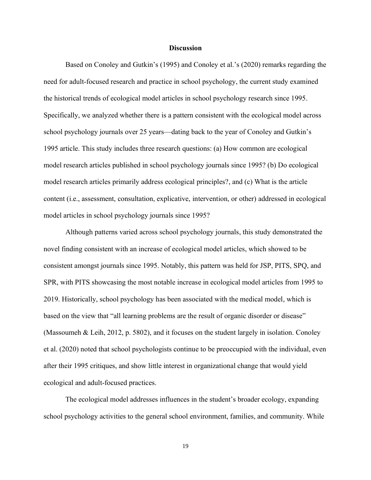#### **Discussion**

Based on Conoley and Gutkin's (1995) and Conoley et al.'s (2020) remarks regarding the need for adult-focused research and practice in school psychology, the current study examined the historical trends of ecological model articles in school psychology research since 1995. Specifically, we analyzed whether there is a pattern consistent with the ecological model across school psychology journals over 25 years—dating back to the year of Conoley and Gutkin's 1995 article. This study includes three research questions: (a) How common are ecological model research articles published in school psychology journals since 1995? (b) Do ecological model research articles primarily address ecological principles?, and (c) What is the article content (i.e., assessment, consultation, explicative, intervention, or other) addressed in ecological model articles in school psychology journals since 1995?

Although patterns varied across school psychology journals, this study demonstrated the novel finding consistent with an increase of ecological model articles, which showed to be consistent amongst journals since 1995. Notably, this pattern was held for JSP, PITS, SPQ, and SPR, with PITS showcasing the most notable increase in ecological model articles from 1995 to 2019. Historically, school psychology has been associated with the medical model, which is based on the view that "all learning problems are the result of organic disorder or disease" (Massoumeh & Leih, 2012, p. 5802), and it focuses on the student largely in isolation. Conoley et al. (2020) noted that school psychologists continue to be preoccupied with the individual, even after their 1995 critiques, and show little interest in organizational change that would yield ecological and adult-focused practices.

The ecological model addresses influences in the student's broader ecology, expanding school psychology activities to the general school environment, families, and community. While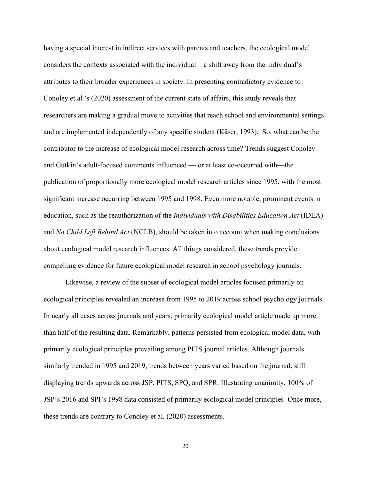having a special interest in indirect services with parents and teachers, the ecological model considers the contexts associated with the individual – a shift away from the individual's attributes to their broader experiences in society. In presenting contradictory evidence to Conoley et al.'s (2020) assessment of the current state of affairs, this study reveals that researchers are making a gradual move to activities that reach school and environmental settings and are implemented independently of any specific student (Käser, 1993). So, what can be the contributor to the increase of ecological model research across time? Trends suggest Conoley and Gutkin's adult-focused comments influenced — or at least co-occurred with—the publication of proportionally more ecological model research articles since 1995, with the most significant increase occurring between 1995 and 1998. Even more notable, prominent events in education, such as the reauthorization of the *Individuals with Disabilities Education Act* (IDEA) and *No Child Left Behind Act* (NCLB), should be taken into account when making conclusions about ecological model research influences. All things considered, these trends provide compelling evidence for future ecological model research in school psychology journals.

Likewise, a review of the subset of ecological model articles focused primarily on ecological principles revealed an increase from 1995 to 2019 across school psychology journals. In nearly all cases across journals and years, primarily ecological model article made up more than half of the resulting data. Remarkably, patterns persisted from ecological model data, with primarily ecological principles prevailing among PITS journal articles. Although journals similarly trended in 1995 and 2019, trends between years varied based on the journal, still displaying trends upwards across JSP, PITS, SPQ, and SPR. Illustrating unanimity, 100% of JSP's 2016 and SPI's 1998 data consisted of primarily ecological model principles. Once more, these trends are contrary to Conoley et al. (2020) assessments.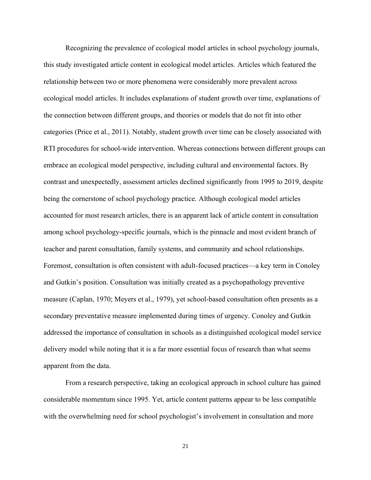Recognizing the prevalence of ecological model articles in school psychology journals, this study investigated article content in ecological model articles. Articles which featured the relationship between two or more phenomena were considerably more prevalent across ecological model articles. It includes explanations of student growth over time, explanations of the connection between different groups, and theories or models that do not fit into other categories (Price et al., 2011). Notably, student growth over time can be closely associated with RTI procedures for school-wide intervention. Whereas connections between different groups can embrace an ecological model perspective, including cultural and environmental factors. By contrast and unexpectedly, assessment articles declined significantly from 1995 to 2019, despite being the cornerstone of school psychology practice. Although ecological model articles accounted for most research articles, there is an apparent lack of article content in consultation among school psychology-specific journals, which is the pinnacle and most evident branch of teacher and parent consultation, family systems, and community and school relationships. Foremost, consultation is often consistent with adult-focused practices—a key term in Conoley and Gutkin's position. Consultation was initially created as a psychopathology preventive measure (Caplan, 1970; Meyers et al., 1979), yet school-based consultation often presents as a secondary preventative measure implemented during times of urgency. Conoley and Gutkin addressed the importance of consultation in schools as a distinguished ecological model service delivery model while noting that it is a far more essential focus of research than what seems apparent from the data.

From a research perspective, taking an ecological approach in school culture has gained considerable momentum since 1995. Yet, article content patterns appear to be less compatible with the overwhelming need for school psychologist's involvement in consultation and more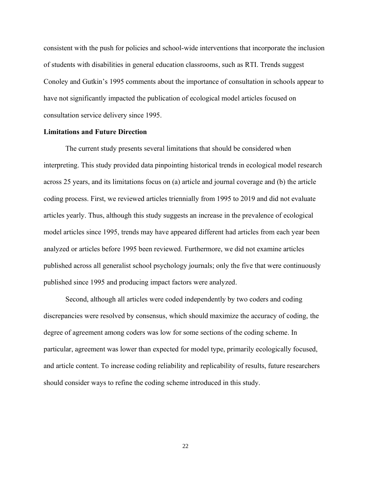consistent with the push for policies and school-wide interventions that incorporate the inclusion of students with disabilities in general education classrooms, such as RTI. Trends suggest Conoley and Gutkin's 1995 comments about the importance of consultation in schools appear to have not significantly impacted the publication of ecological model articles focused on consultation service delivery since 1995.

#### **Limitations and Future Direction**

The current study presents several limitations that should be considered when interpreting. This study provided data pinpointing historical trends in ecological model research across 25 years, and its limitations focus on (a) article and journal coverage and (b) the article coding process. First, we reviewed articles triennially from 1995 to 2019 and did not evaluate articles yearly. Thus, although this study suggests an increase in the prevalence of ecological model articles since 1995, trends may have appeared different had articles from each year been analyzed or articles before 1995 been reviewed. Furthermore, we did not examine articles published across all generalist school psychology journals; only the five that were continuously published since 1995 and producing impact factors were analyzed.

Second, although all articles were coded independently by two coders and coding discrepancies were resolved by consensus, which should maximize the accuracy of coding, the degree of agreement among coders was low for some sections of the coding scheme. In particular, agreement was lower than expected for model type, primarily ecologically focused, and article content. To increase coding reliability and replicability of results, future researchers should consider ways to refine the coding scheme introduced in this study.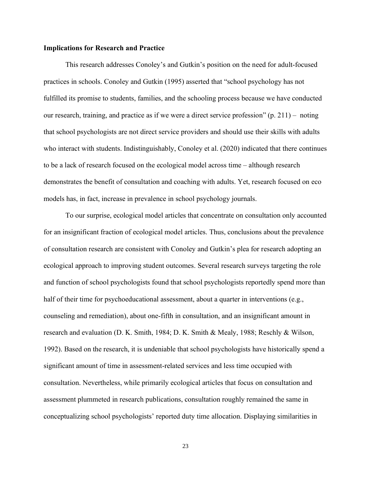#### **Implications for Research and Practice**

This research addresses Conoley's and Gutkin's position on the need for adult-focused practices in schools. Conoley and Gutkin (1995) asserted that "school psychology has not fulfilled its promise to students, families, and the schooling process because we have conducted our research, training, and practice as if we were a direct service profession" (p. 211) – noting that school psychologists are not direct service providers and should use their skills with adults who interact with students. Indistinguishably, Conoley et al. (2020) indicated that there continues to be a lack of research focused on the ecological model across time – although research demonstrates the benefit of consultation and coaching with adults. Yet, research focused on eco models has, in fact, increase in prevalence in school psychology journals.

To our surprise, ecological model articles that concentrate on consultation only accounted for an insignificant fraction of ecological model articles. Thus, conclusions about the prevalence of consultation research are consistent with Conoley and Gutkin's plea for research adopting an ecological approach to improving student outcomes. Several research surveys targeting the role and function of school psychologists found that school psychologists reportedly spend more than half of their time for psychoeducational assessment, about a quarter in interventions (e.g., counseling and remediation), about one-fifth in consultation, and an insignificant amount in research and evaluation (D. K. Smith, 1984; D. K. Smith & Mealy, 1988; Reschly & Wilson, 1992). Based on the research, it is undeniable that school psychologists have historically spend a significant amount of time in assessment-related services and less time occupied with consultation. Nevertheless, while primarily ecological articles that focus on consultation and assessment plummeted in research publications, consultation roughly remained the same in conceptualizing school psychologists' reported duty time allocation. Displaying similarities in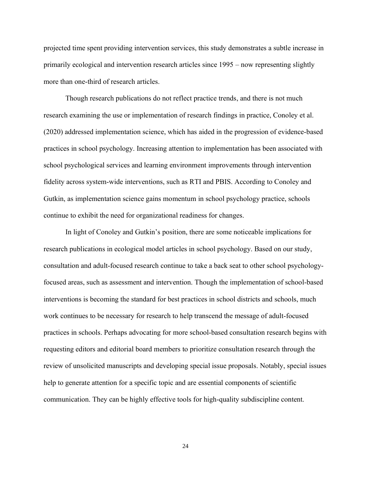projected time spent providing intervention services, this study demonstrates a subtle increase in primarily ecological and intervention research articles since 1995 – now representing slightly more than one-third of research articles.

Though research publications do not reflect practice trends, and there is not much research examining the use or implementation of research findings in practice, Conoley et al. (2020) addressed implementation science, which has aided in the progression of evidence-based practices in school psychology. Increasing attention to implementation has been associated with school psychological services and learning environment improvements through intervention fidelity across system-wide interventions, such as RTI and PBIS. According to Conoley and Gutkin, as implementation science gains momentum in school psychology practice, schools continue to exhibit the need for organizational readiness for changes.

In light of Conoley and Gutkin's position, there are some noticeable implications for research publications in ecological model articles in school psychology. Based on our study, consultation and adult-focused research continue to take a back seat to other school psychologyfocused areas, such as assessment and intervention. Though the implementation of school-based interventions is becoming the standard for best practices in school districts and schools, much work continues to be necessary for research to help transcend the message of adult-focused practices in schools. Perhaps advocating for more school-based consultation research begins with requesting editors and editorial board members to prioritize consultation research through the review of unsolicited manuscripts and developing special issue proposals. Notably, special issues help to generate attention for a specific topic and are essential components of scientific communication. They can be highly effective tools for high-quality subdiscipline content.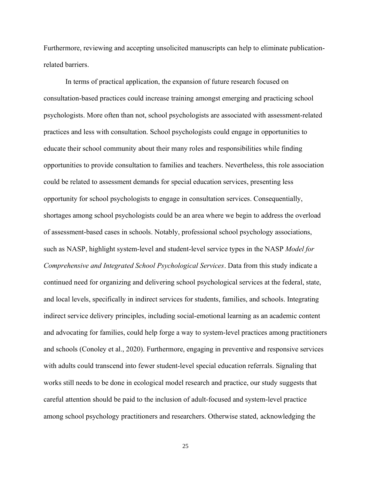Furthermore, reviewing and accepting unsolicited manuscripts can help to eliminate publicationrelated barriers.

In terms of practical application, the expansion of future research focused on consultation-based practices could increase training amongst emerging and practicing school psychologists. More often than not, school psychologists are associated with assessment-related practices and less with consultation. School psychologists could engage in opportunities to educate their school community about their many roles and responsibilities while finding opportunities to provide consultation to families and teachers. Nevertheless, this role association could be related to assessment demands for special education services, presenting less opportunity for school psychologists to engage in consultation services. Consequentially, shortages among school psychologists could be an area where we begin to address the overload of assessment-based cases in schools. Notably, professional school psychology associations, such as NASP, highlight system-level and student-level service types in the NASP *Model for Comprehensive and Integrated School Psychological Services*. Data from this study indicate a continued need for organizing and delivering school psychological services at the federal, state, and local levels, specifically in indirect services for students, families, and schools. Integrating indirect service delivery principles, including social-emotional learning as an academic content and advocating for families, could help forge a way to system-level practices among practitioners and schools (Conoley et al., 2020). Furthermore, engaging in preventive and responsive services with adults could transcend into fewer student-level special education referrals. Signaling that works still needs to be done in ecological model research and practice, our study suggests that careful attention should be paid to the inclusion of adult-focused and system-level practice among school psychology practitioners and researchers. Otherwise stated, acknowledging the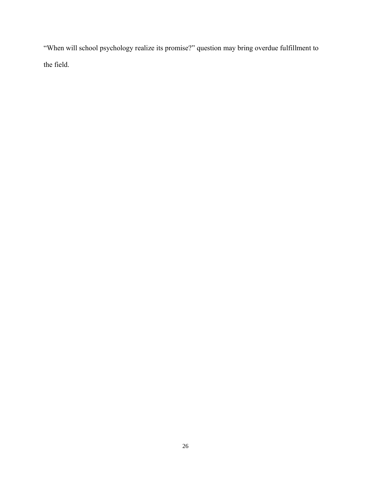"When will school psychology realize its promise?" question may bring overdue fulfillment to the field.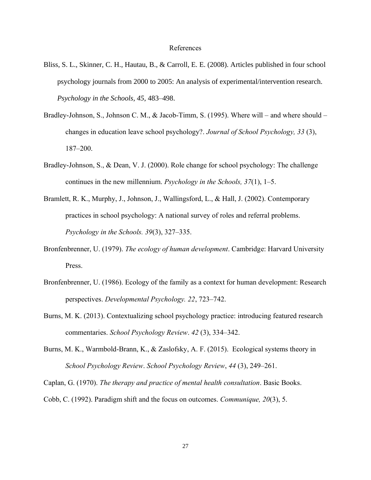#### References

- Bliss, S. L., Skinner, C. H., Hautau, B., & Carroll, E. E. (2008). Articles published in four school psychology journals from 2000 to 2005: An analysis of experimental/intervention research. *Psychology in the Schools, 45*, 483–498.
- Bradley-Johnson, S., Johnson C. M., & Jacob-Timm, S. (1995). Where will and where should changes in education leave school psychology?. *Journal of School Psychology, 33* (3), 187–200.
- Bradley-Johnson, S., & Dean, V. J. (2000). Role change for school psychology: The challenge continues in the new millennium. *Psychology in the Schools, 37*(1), 1–5.
- Bramlett, R. K., Murphy, J., Johnson, J., Wallingsford, L., & Hall, J. (2002). Contemporary practices in school psychology: A national survey of roles and referral problems. *Psychology in the Schools. 39*(3), 327–335.
- Bronfenbrenner, U. (1979). *The ecology of human development*. Cambridge: Harvard University Press.
- Bronfenbrenner, U. (1986). Ecology of the family as a context for human development: Research perspectives. *Developmental Psychology. 22*, 723–742.
- Burns, M. K. (2013). Contextualizing school psychology practice: introducing featured research commentaries. *School Psychology Review*. *42* (3), 334–342.
- Burns, M. K., Warmbold-Brann, K., & Zaslofsky, A. F. (2015). Ecological systems theory in *School Psychology Review*. *School Psychology Review*, *44* (3), 249–261.

Caplan, G. (1970). *The therapy and practice of mental health consultation*. Basic Books.

Cobb, C. (1992). Paradigm shift and the focus on outcomes. *Communique, 20*(3), 5.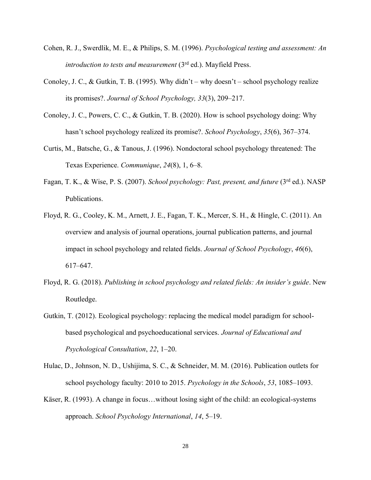- Cohen, R. J., Swerdlik, M. E., & Philips, S. M. (1996). *Psychological testing and assessment: An introduction to tests and measurement* (3<sup>rd</sup> ed.). Mayfield Press.
- Conoley, J. C., & Gutkin, T. B. (1995). Why didn't why doesn't school psychology realize its promises?. *Journal of School Psychology, 33*(3), 209–217.
- Conoley, J. C., Powers, C. C., & Gutkin, T. B. (2020). How is school psychology doing: Why hasn't school psychology realized its promise?. *School Psychology*, *35*(6), 367–374.
- Curtis, M., Batsche, G., & Tanous, J. (1996). Nondoctoral school psychology threatened: The Texas Experience. *Communique*, *24*(8), 1, 6–8.
- Fagan, T. K., & Wise, P. S. (2007). *School psychology: Past, present, and future* (3rd ed.). NASP Publications.
- Floyd, R. G., Cooley, K. M., Arnett, J. E., Fagan, T. K., Mercer, S. H., & Hingle, C. (2011). An overview and analysis of journal operations, journal publication patterns, and journal impact in school psychology and related fields. *Journal of School Psychology*, *46*(6), 617–647.
- Floyd, R. G. (2018). *Publishing in school psychology and related fields: An insider's guide*. New Routledge.
- Gutkin, T. (2012). Ecological psychology: replacing the medical model paradigm for schoolbased psychological and psychoeducational services. *Journal of Educational and Psychological Consultation*, *22*, 1–20.
- Hulac, D., Johnson, N. D., Ushijima, S. C., & Schneider, M. M. (2016). Publication outlets for school psychology faculty: 2010 to 2015. *Psychology in the Schools*, *53*, 1085–1093.
- Käser, R. (1993). A change in focus…without losing sight of the child: an ecological-systems approach. *School Psychology International*, *14*, 5–19.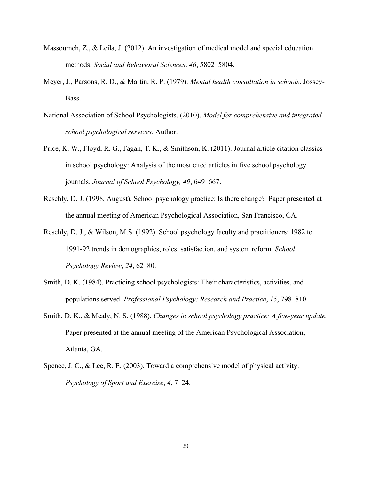- Massoumeh, Z., & Leila, J. (2012). An investigation of medical model and special education methods. *Social and Behavioral Sciences*. *46*, 5802–5804.
- Meyer, J., Parsons, R. D., & Martin, R. P. (1979). *Mental health consultation in schools*. Jossey-Bass.
- National Association of School Psychologists. (2010). *Model for comprehensive and integrated school psychological services*. Author.
- Price, K. W., Floyd, R. G., Fagan, T. K., & Smithson, K. (2011). Journal article citation classics in school psychology: Analysis of the most cited articles in five school psychology journals. *Journal of School Psychology, 49*, 649–667.
- Reschly, D. J. (1998, August). School psychology practice: Is there change? Paper presented at the annual meeting of American Psychological Association, San Francisco, CA.
- Reschly, D. J., & Wilson, M.S. (1992). School psychology faculty and practitioners: 1982 to 1991-92 trends in demographics, roles, satisfaction, and system reform. *School Psychology Review*, *24*, 62–80.
- Smith, D. K. (1984). Practicing school psychologists: Their characteristics, activities, and populations served. *Professional Psychology: Research and Practice*, *15*, 798–810.
- Smith, D. K., & Mealy, N. S. (1988). *Changes in school psychology practice: A five-year update.* Paper presented at the annual meeting of the American Psychological Association, Atlanta, GA.
- Spence, J. C., & Lee, R. E. (2003). Toward a comprehensive model of physical activity. *Psychology of Sport and Exercise*, *4*, 7–24.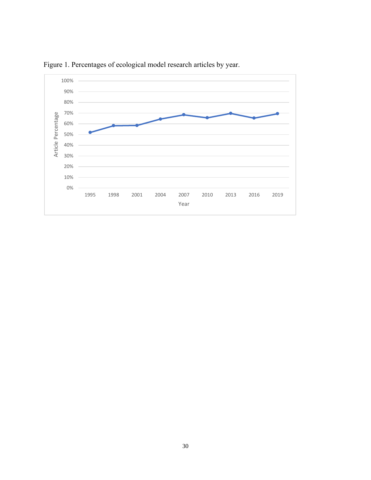

Figure 1. Percentages of ecological model research articles by year.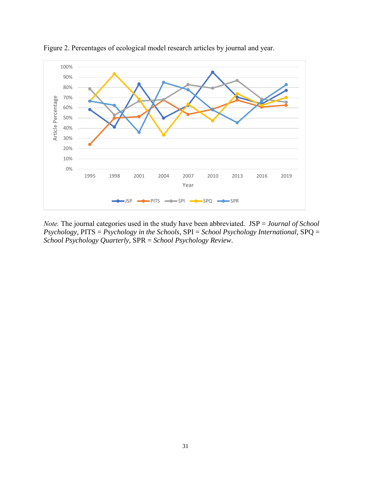

Figure 2. Percentages of ecological model research articles by journal and year.

*Note.* The journal categories used in the study have been abbreviated. JSP = *Journal of School Psychology*, PITS = *Psychology in the Schools*, SPI = *School Psychology International*, SPQ = *School Psychology Quarterly*, SPR = *School Psychology Review.*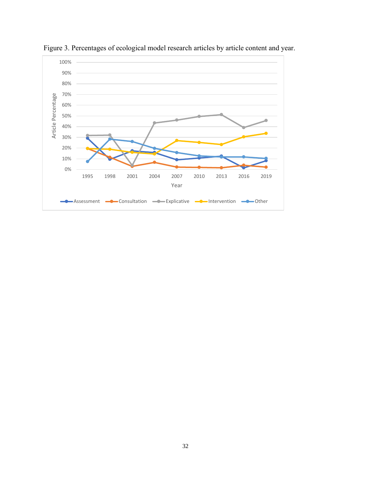

Figure 3. Percentages of ecological model research articles by article content and year.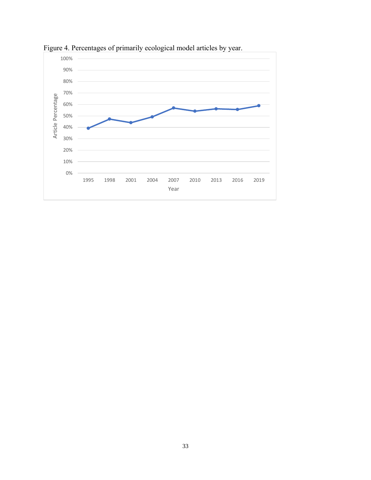

Figure 4. Percentages of primarily ecological model articles by year.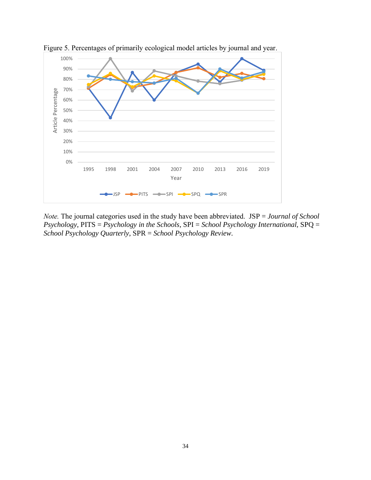

Figure 5. Percentages of primarily ecological model articles by journal and year.

*Note.* The journal categories used in the study have been abbreviated. JSP = *Journal of School Psychology*, PITS = *Psychology in the Schools*, SPI = *School Psychology International*, SPQ = *School Psychology Quarterly*, SPR = *School Psychology Review.*